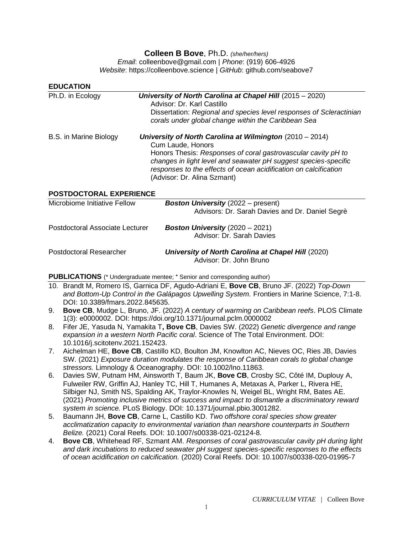# **Colleen B Bove**, Ph.D. *(she/her/hers)*

*Email*: colleenbove@gmail.com | *Phone*: (919) 606-4926 *Website*: https://colleenbove.science | *GitHub*: github.com/seabove7

| <b>EDUCATION</b>                |                                                                                                                                                                                                                                                                                                                        |
|---------------------------------|------------------------------------------------------------------------------------------------------------------------------------------------------------------------------------------------------------------------------------------------------------------------------------------------------------------------|
| Ph.D. in Ecology                | University of North Carolina at Chapel Hill (2015 - 2020)<br>Advisor: Dr. Karl Castillo<br>Dissertation: Regional and species level responses of Scleractinian<br>corals under global change within the Caribbean Sea                                                                                                  |
| B.S. in Marine Biology          | University of North Carolina at Wilmington $(2010 - 2014)$<br>Cum Laude, Honors<br>Honors Thesis: Responses of coral gastrovascular cavity pH to<br>changes in light level and seawater pH suggest species-specific<br>responses to the effects of ocean acidification on calcification<br>(Advisor: Dr. Alina Szmant) |
| <b>POSTDOCTORAL EXPERIENCE</b>  |                                                                                                                                                                                                                                                                                                                        |
| Microbiome Initiative Fellow    | <b>Boston University</b> (2022 – present)<br>Advisors: Dr. Sarah Davies and Dr. Daniel Segrè                                                                                                                                                                                                                           |
| Postdoctoral Associate Lecturer | <b>Boston University</b> $(2020 - 2021)$<br>Advisor: Dr. Sarah Davies                                                                                                                                                                                                                                                  |
| Postdoctoral Researcher         | University of North Carolina at Chapel Hill (2020)<br>Advisor: Dr. John Bruno                                                                                                                                                                                                                                          |

**PUBLICATIONS** (\* Undergraduate mentee; **<sup>+</sup>** Senior and corresponding author)

- 10. Brandt M, Romero IS, Garnica DF, Agudo-Adriani E, **Bove CB**, Bruno JF. (2022) *Top-Down and Bottom-Up Control in the Galápagos Upwelling System.* Frontiers in Marine Science, 7:1-8. DOI: 10.3389/fmars.2022.845635.
- 9. **Bove CB**, Mudge L, Bruno, JF. (2022) *A century of warming on Caribbean reefs*. PLOS Climate 1(3): e0000002. DOI: https://doi.org/10.1371/journal.pclm.0000002
- 8. Fifer JE, Yasuda N, Yamakita T**, Bove CB**, Davies SW. (2022) *Genetic divergence and range expansion in a western North Pacific coral*. Science of The Total Environment. DOI: 10.1016/j.scitotenv.2021.152423.
- 7. Aichelman HE, **Bove CB**, Castillo KD, Boulton JM, Knowlton AC, Nieves OC, Ries JB, Davies SW. (2021) *Exposure duration modulates the response of Caribbean corals to global change stressors.* Limnology & Oceanography. DOI: 10.1002/lno.11863.
- 6. Davies SW, Putnam HM, Ainsworth T, Baum JK, **Bove CB**, Crosby SC, Côté IM, Duplouy A, Fulweiler RW, Griffin AJ, Hanley TC, Hill T, Humanes A, Metaxas A, Parker L, Rivera HE, Silbiger NJ, Smith NS, Spalding AK, Traylor-Knowles N, Weigel BL, Wright RM, Bates AE. (2021) *Promoting inclusive metrics of success and impact to dismantle a discriminatory reward system in science.* PLoS Biology. DOI: 10.1371/journal.pbio.3001282.
- 5. Baumann JH, **Bove CB**, Carne L, Castillo KD. *Two offshore coral species show greater acclimatization capacity to environmental variation than nearshore counterparts in Southern Belize.* (2021) Coral Reefs. DOI: 10.1007/s00338-021-02124-8.
- 4. **Bove CB**, Whitehead RF, Szmant AM. *Responses of coral gastrovascular cavity pH during light and dark incubations to reduced seawater pH suggest species-specific responses to the effects of ocean acidification on calcification.* (2020) Coral Reefs. DOI: 10.1007/s00338-020-01995-7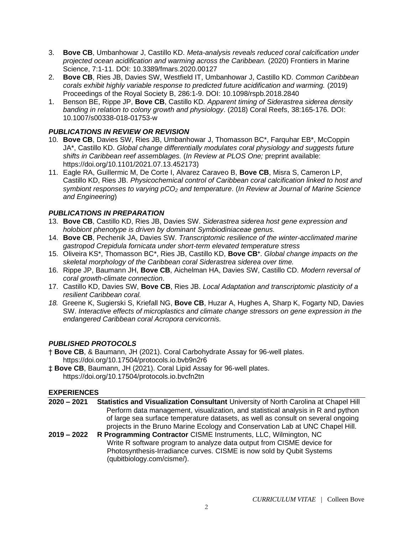- 3. **Bove CB**, Umbanhowar J, Castillo KD. *Meta-analysis reveals reduced coral calcification under projected ocean acidification and warming across the Caribbean.* (2020) Frontiers in Marine Science, 7:1-11. DOI: 10.3389/fmars.2020.00127
- 2. **Bove CB**, Ries JB, Davies SW, Westfield IT, Umbanhowar J, Castillo KD. *Common Caribbean corals exhibit highly variable response to predicted future acidification and warming.* (2019) Proceedings of the Royal Society B, 286:1-9. DOI: 10.1098/rspb.2018.2840
- 1. Benson BE, Rippe JP, **Bove CB**, Castillo KD*. Apparent timing of Siderastrea siderea density banding in relation to colony growth and physiology*. (2018) Coral Reefs, 38:165-176. DOI: 10.1007/s00338-018-01753-w

## *PUBLICATIONS IN REVIEW OR REVISION*

- 10. **Bove CB**, Davies SW, Ries JB, Umbanhowar J, Thomasson BC\*, Farquhar EB\*, McCoppin JA\*, Castillo KD. *Global change differentially modulates coral physiology and suggests future shifts in Caribbean reef assemblages.* (*In Review at PLOS One;* preprint available: https://doi.org/10.1101/2021.07.13.452173)
- 11. Eagle RA, Guillermic M, De Corte I, Alvarez Caraveo B, **Bove CB**, Misra S, Cameron LP, Castillo KD, Ries JB. *Physicochemical control of Caribbean coral calcification linked to host and symbiont responses to varying pCO<sup>2</sup> and temperature*. (*In Review at Journal of Marine Science and Engineering*)

## *PUBLICATIONS IN PREPARATION*

- 13. **Bove CB**, Castillo KD, Ries JB, Davies SW. *Siderastrea siderea host gene expression and holobiont phenotype is driven by dominant Symbiodiniaceae genus.*
- 14. **Bove CB**, Pechenik JA, Davies SW. *Transcriptomic resilience of the winter-acclimated marine gastropod Crepidula fornicata under short-term elevated temperature stress*
- 15. Oliveira KS\*, Thomasson BC\*, Ries JB, Castillo KD, **Bove CB<sup>+</sup>** . *Global change impacts on the skeletal morphology of the Caribbean coral Siderastrea siderea over time.*
- 16. Rippe JP, Baumann JH, **Bove CB**, Aichelman HA, Davies SW, Castillo CD. *Modern reversal of coral growth-climate connection*.
- 17. Castillo KD, Davies SW, **Bove CB**, Ries JB. *Local Adaptation and transcriptomic plasticity of a resilient Caribbean coral.*
- *18.* Greene K, Sugierski S, Kriefall NG, **Bove CB**, Huzar A, Hughes A, Sharp K, Fogarty ND, Davies SW. *Interactive effects of microplastics and climate change stressors on gene expression in the endangered Caribbean coral Acropora cervicornis.*

## *PUBLISHED PROTOCOLS*

- † **Bove CB**, & Baumann, JH (2021). Coral Carbohydrate Assay for 96-well plates. https://doi.org/10.17504/protocols.io.bvb9n2r6
- ‡ **Bove CB**, Baumann, JH (2021). Coral Lipid Assay for 96-well plates. https://doi.org/10.17504/protocols.io.bvcfn2tn

(qubitbiology.com/cisme/).

### **EXPERIENCES**

| $2020 - 2021$ | Statistics and Visualization Consultant University of North Carolina at Chapel Hill |
|---------------|-------------------------------------------------------------------------------------|
|               | Perform data management, visualization, and statistical analysis in R and python    |
|               | of large sea surface temperature datasets, as well as consult on several ongoing    |
|               | projects in the Bruno Marine Ecology and Conservation Lab at UNC Chapel Hill.       |
| 2019 – 2022   | R Programming Contractor CISME Instruments, LLC, Wilmington, NC                     |
|               | Write R software program to analyze data output from CISME device for               |
|               | Photosynthesis-Irradiance curves. CISME is now sold by Qubit Systems                |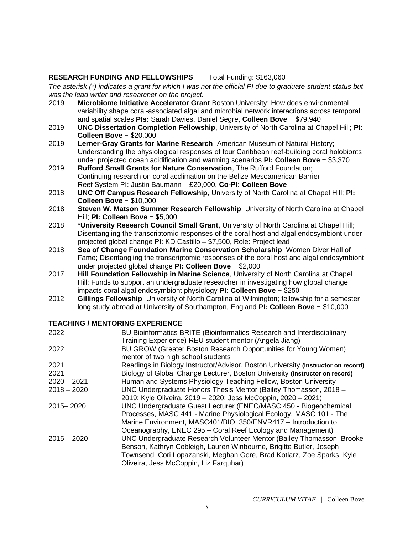### **RESEARCH FUNDING AND FELLOWSHIPS** Total Funding: \$163,060

*The asterisk (\*) indicates a grant for which I was not the official PI due to graduate student status but was the lead writer and researcher on the project.*

- 2019 **Microbiome Initiative Accelerator Grant** Boston University; How does environmental variability shape coral-associated algal and microbial network interactions across temporal and spatial scales **PIs:** Sarah Davies, Daniel Segre, **Colleen Bove** − \$79,940
- 2019 **UNC Dissertation Completion Fellowship**, University of North Carolina at Chapel Hill; **PI: Colleen Bove** − \$20,000
- 2019 **Lerner-Gray Grants for Marine Research**, American Museum of Natural History; Understanding the physiological responses of four Caribbean reef-building coral holobionts under projected ocean acidification and warming scenarios **PI: Colleen Bove** − \$3,370
- 2019 **Rufford Small Grants for Nature Conservation**, The Rufford Foundation; Continuing research on coral acclimation on the Belize Mesoamerican Barrier Reef System PI: Justin Baumann – £20,000, **Co-PI: Colleen Bove**
- 2018 **UNC Off Campus Research Fellowship**, University of North Carolina at Chapel Hill; **PI: Colleen Bove** − \$10,000
- 2018 **Steven W. Matson Summer Research Fellowship**, University of North Carolina at Chapel Hill; **PI: Colleen Bove** − \$5,000
- 2018 \***University Research Council Small Grant**, University of North Carolina at Chapel Hill; Disentangling the transcriptomic responses of the coral host and algal endosymbiont under projected global change PI: KD Castillo – \$7,500, Role: Project lead
- 2018 **Sea of Change Foundation Marine Conservation Scholarship**, Women Diver Hall of Fame; Disentangling the transcriptomic responses of the coral host and algal endosymbiont under projected global change **PI: Colleen Bove** − \$2,000
- 2017 **Hill Foundation Fellowship in Marine Science**, University of North Carolina at Chapel Hill; Funds to support an undergraduate researcher in investigating how global change impacts coral algal endosymbiont physiology **PI: Colleen Bove** − \$250
- 2012 **Gillings Fellowship**, University of North Carolina at Wilmington; fellowship for a semester long study abroad at University of Southampton, England **PI: Colleen Bove** − \$10,000

### **TEACHING / MENTORING EXPERIENCE**

| 2022          | BU Bioinformatics BRITE (Bioinformatics Research and Interdisciplinary           |
|---------------|----------------------------------------------------------------------------------|
|               | Training Experience) REU student mentor (Angela Jiang)                           |
| 2022          | BU GROW (Greater Boston Research Opportunities for Young Women)                  |
|               | mentor of two high school students                                               |
| 2021          | Readings in Biology Instructor/Advisor, Boston University (Instructor on record) |
| 2021          | Biology of Global Change Lecturer, Boston University (Instructor on record)      |
| $2020 - 2021$ | Human and Systems Physiology Teaching Fellow, Boston University                  |
| $2018 - 2020$ | UNC Undergraduate Honors Thesis Mentor (Bailey Thomasson, 2018 -                 |
|               | 2019; Kyle Oliveira, 2019 - 2020; Jess McCoppin, 2020 - 2021)                    |
| 2015-2020     | UNC Undergraduate Guest Lecturer (ENEC/MASC 450 - Biogeochemical                 |
|               | Processes, MASC 441 - Marine Physiological Ecology, MASC 101 - The               |
|               | Marine Environment, MASC401/BIOL350/ENVR417 - Introduction to                    |
|               | Oceanography, ENEC 295 - Coral Reef Ecology and Management)                      |
| $2015 - 2020$ | UNC Undergraduate Research Volunteer Mentor (Bailey Thomasson, Brooke            |
|               | Benson, Kathryn Cobleigh, Lauren Winbourne, Brigitte Butler, Joseph              |
|               | Townsend, Cori Lopazanski, Meghan Gore, Brad Kotlarz, Zoe Sparks, Kyle           |
|               | Oliveira, Jess McCoppin, Liz Farquhar)                                           |
|               |                                                                                  |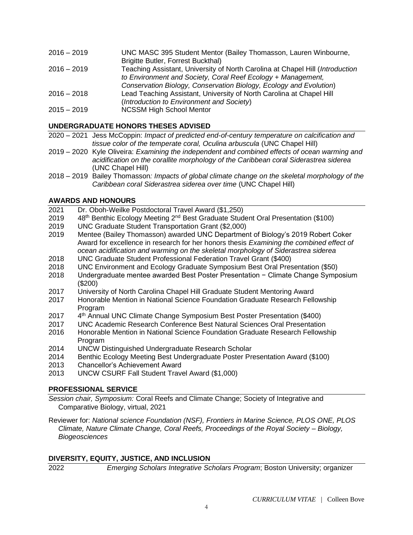| UNC MASC 395 Student Mentor (Bailey Thomasson, Lauren Winbourne,              |
|-------------------------------------------------------------------------------|
| Brigitte Butler, Forrest Buckthal)                                            |
| Teaching Assistant, University of North Carolina at Chapel Hill (Introduction |
| to Environment and Society, Coral Reef Ecology + Management,                  |
| Conservation Biology, Conservation Biology, Ecology and Evolution)            |
| Lead Teaching Assistant, University of North Carolina at Chapel Hill          |
| (Introduction to Environment and Society)                                     |
| <b>NCSSM High School Mentor</b>                                               |
|                                                                               |

## **UNDERGRADUATE HONORS THESES ADVISED**

- 2020 2021 Jess McCoppin: *Impact of predicted end-of-century temperature on calcification and tissue color of the temperate coral, Oculina arbuscula* (UNC Chapel Hill)
- 2019 2020 Kyle Oliveira: *Examining the independent and combined effects of ocean warming and acidification on the corallite morphology of the Caribbean coral Siderastrea siderea* (UNC Chapel Hill)
- 2018 2019 Bailey Thomasson*: Impacts of global climate change on the skeletal morphology of the Caribbean coral Siderastrea siderea over time* (UNC Chapel Hill)

### **AWARDS AND HONOURS**

- 2021 Dr. Oboh-Weilke Postdoctoral Travel Award (\$1,250)
- 2019 48<sup>th</sup> Benthic Ecology Meeting 2<sup>nd</sup> Best Graduate Student Oral Presentation (\$100)
- 2019 UNC Graduate Student Transportation Grant (\$2,000)
- 2019 Mentee (Bailey Thomasson) awarded UNC Department of Biology's 2019 Robert Coker Award for excellence in research for her honors thesis *Examining the combined effect of ocean acidification and warming on the skeletal morphology of Siderastrea siderea*
- 2018 UNC Graduate Student Professional Federation Travel Grant (\$400)
- 2018 UNC Environment and Ecology Graduate Symposium Best Oral Presentation (\$50)
- 2018 Undergraduate mentee awarded Best Poster Presentation − Climate Change Symposium (\$200)
- 2017 University of North Carolina Chapel Hill Graduate Student Mentoring Award
- 2017 Honorable Mention in National Science Foundation Graduate Research Fellowship Program
- 2017 4<sup>th</sup> Annual UNC Climate Change Symposium Best Poster Presentation (\$400)
- 2017 UNC Academic Research Conference Best Natural Sciences Oral Presentation
- 2016 Honorable Mention in National Science Foundation Graduate Research Fellowship Program
- 2014 UNCW Distinguished Undergraduate Research Scholar
- 2014 Benthic Ecology Meeting Best Undergraduate Poster Presentation Award (\$100)
- 2013 Chancellor's Achievement Award
- 2013 UNCW CSURF Fall Student Travel Award (\$1,000)

#### **PROFESSIONAL SERVICE**

*Session chair, Symposium:* Coral Reefs and Climate Change; Society of Integrative and Comparative Biology, virtual, 2021

Reviewer for: *National science Foundation (NSF), Frontiers in Marine Science, PLOS ONE, PLOS Climate, Nature Climate Change, Coral Reefs, Proceedings of the Royal Society – Biology, Biogeosciences*

### **DIVERSITY, EQUITY, JUSTICE, AND INCLUSION**

2022 *Emerging Scholars Integrative Scholars Program*; Boston University; organizer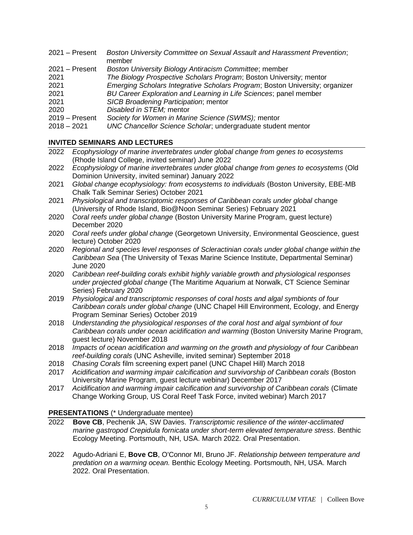- 2021 Present *Boston University Committee on Sexual Assault and Harassment Prevention*; member
- 2021 Present *Boston University Biology Antiracism Committee*; member
- 2021 *The Biology Prospective Scholars Program*; Boston University; mentor
- 2021 *Emerging Scholars Integrative Scholars Program*; Boston University; organizer
- 2021 *BU Career Exploration and Learning in Life Sciences*; panel member
- 2021 *SICB Broadening Participation*; mentor
- 2020 *Disabled in STEM;* mentor
- 2019 Present *Society for Women in Marine Science (SWMS);* mentor
- 2018 2021 *UNC Chancellor Science Scholar*; undergraduate student mentor

## **INVITED SEMINARS AND LECTURES**

- 2022 *Ecophysiology of marine invertebrates under global change from genes to ecosystems* (Rhode Island College, invited seminar) June 2022
- 2022 *Ecophysiology of marine invertebrates under global change from genes to ecosystems* (Old Dominion University, invited seminar) January 2022
- 2021 *Global change ecophysiology: from ecosystems to individuals* (Boston University, EBE-MB Chalk Talk Seminar Series) October 2021
- 2021 *Physiological and transcriptomic responses of Caribbean corals under global* change (University of Rhode Island, Bio@Noon Seminar Series) February 2021
- 2020 *Coral reefs under global change* (Boston University Marine Program, guest lecture) December 2020
- 2020 *Coral reefs under global change* (Georgetown University, Environmental Geoscience, guest lecture) October 2020
- 2020 *Regional and species level responses of Scleractinian corals under global change within the Caribbean Sea* (The University of Texas Marine Science Institute, Departmental Seminar) June 2020
- 2020 *Caribbean reef-building corals exhibit highly variable growth and physiological responses under projected global change* (The Maritime Aquarium at Norwalk, CT Science Seminar Series) February 2020
- 2019 *Physiological and transcriptomic responses of coral hosts and algal symbionts of four Caribbean corals under global change* (UNC Chapel Hill Environment, Ecology, and Energy Program Seminar Series) October 2019
- 2018 *Understanding the physiological responses of the coral host and algal symbiont of four Caribbean corals under ocean acidification and warming* (Boston University Marine Program, guest lecture) November 2018
- 2018 *Impacts of ocean acidification and warming on the growth and physiology of four Caribbean reef-building corals* (UNC Asheville, invited seminar) September 2018
- 2018 *Chasing Corals* film screening expert panel (UNC Chapel Hill) March 2018
- 2017 *Acidification and warming impair calcification and survivorship of Caribbean corals* (Boston University Marine Program, guest lecture webinar) December 2017
- 2017 *Acidification and warming impair calcification and survivorship of Caribbean corals* (Climate Change Working Group, US Coral Reef Task Force, invited webinar) March 2017

## **PRESENTATIONS** (\* Undergraduate mentee)

- 2022 **Bove CB**, Pechenik JA, SW Davies. *Transcriptomic resilience of the winter-acclimated marine gastropod Crepidula fornicata under short-term elevated temperature stress*. Benthic Ecology Meeting. Portsmouth, NH, USA. March 2022. Oral Presentation.
- 2022 Agudo-Adriani E, **Bove CB**, O'Connor MI, Bruno JF. *Relationship between temperature and predation on a warming ocean.* Benthic Ecology Meeting. Portsmouth, NH, USA. March 2022. Oral Presentation.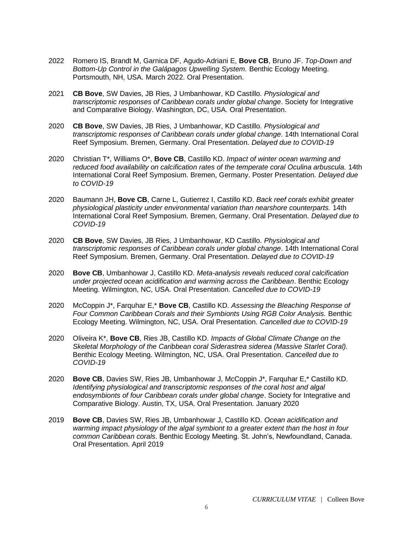- 2022 Romero IS, Brandt M, Garnica DF, Agudo-Adriani E, **Bove CB**, Bruno JF. *Top-Down and Bottom-Up Control in the Galápagos Upwelling System.* Benthic Ecology Meeting. Portsmouth, NH, USA. March 2022. Oral Presentation.
- 2021 **CB Bove**, SW Davies, JB Ries, J Umbanhowar, KD Castillo. *Physiological and transcriptomic responses of Caribbean corals under global change*. Society for Integrative and Comparative Biology. Washington, DC, USA. Oral Presentation.
- 2020 **CB Bove**, SW Davies, JB Ries, J Umbanhowar, KD Castillo. *Physiological and transcriptomic responses of Caribbean corals under global change*. 14th International Coral Reef Symposium. Bremen, Germany. Oral Presentation. *Delayed due to COVID-19*
- 2020 Christian T\*, Williams O\*, **Bove CB**, Castillo KD. *Impact of winter ocean warming and*  reduced food availability on calcification rates of the temperate coral Oculina arbuscula. 14th International Coral Reef Symposium. Bremen, Germany. Poster Presentation. *Delayed due to COVID-19*
- 2020 Baumann JH, **Bove CB**, Carne L, Gutierrez I, Castillo KD. *Back reef corals exhibit greater physiological plasticity under environmental variation than nearshore counterparts.* 14th International Coral Reef Symposium. Bremen, Germany. Oral Presentation. *Delayed due to COVID-19*
- 2020 **CB Bove**, SW Davies, JB Ries, J Umbanhowar, KD Castillo. *Physiological and transcriptomic responses of Caribbean corals under global change*. 14th International Coral Reef Symposium. Bremen, Germany. Oral Presentation. *Delayed due to COVID-19*
- 2020 **Bove CB**, Umbanhowar J, Castillo KD. *Meta-analysis reveals reduced coral calcification under projected ocean acidification and warming across the Caribbean*. Benthic Ecology Meeting. Wilmington, NC, USA. Oral Presentation. *Cancelled due to COVID-19*
- 2020 McCoppin J\*, Farquhar E,\* **Bove CB**, Castillo KD. *Assessing the Bleaching Response of*  Four Common Caribbean Corals and their Symbionts Using RGB Color Analysis. Benthic Ecology Meeting. Wilmington, NC, USA. Oral Presentation. *Cancelled due to COVID-19*
- 2020 Oliveira K\*, **Bove CB**, Ries JB, Castillo KD. *Impacts of Global Climate Change on the Skeletal Morphology of the Caribbean coral Siderastrea siderea (Massive Starlet Coral).*  Benthic Ecology Meeting. Wilmington, NC, USA. Oral Presentation. *Cancelled due to COVID-19*
- 2020 **Bove CB**, Davies SW, Ries JB, Umbanhowar J, McCoppin J\*, Farquhar E,\* Castillo KD. *Identifying physiological and transcriptomic responses of the coral host and algal endosymbionts of four Caribbean corals under global change*. Society for Integrative and Comparative Biology. Austin, TX, USA. Oral Presentation. January 2020
- 2019 **Bove CB**, Davies SW, Ries JB, Umbanhowar J, Castillo KD. *Ocean acidification and warming impact physiology of the algal symbiont to a greater extent than the host in four common Caribbean corals*. Benthic Ecology Meeting. St. John's, Newfoundland, Canada. Oral Presentation. April 2019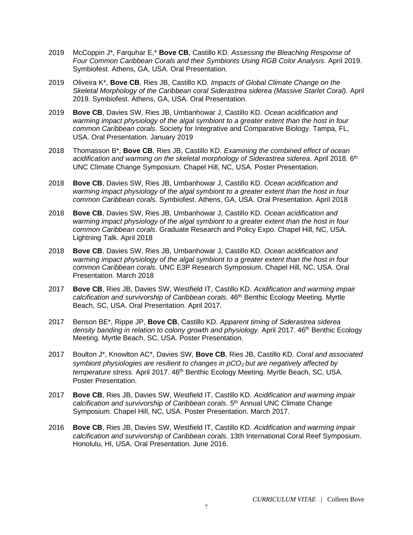- 2019 McCoppin J\*, Farquhar E,\* **Bove CB**, Castillo KD. *Assessing the Bleaching Response of*  Four Common Caribbean Corals and their Symbionts Using RGB Color Analysis. April 2019. Symbiofest. Athens, GA, USA. Oral Presentation.
- 2019 Oliveira K\*, **Bove CB**, Ries JB, Castillo KD. *Impacts of Global Climate Change on the Skeletal Morphology of the Caribbean coral Siderastrea siderea (Massive Starlet Coral).* April 2019. Symbiofest. Athens, GA, USA. Oral Presentation.
- 2019 **Bove CB**, Davies SW, Ries JB, Umbanhowar J, Castillo KD. *Ocean acidification and warming impact physiology of the algal symbiont to a greater extent than the host in four common Caribbean corals*. Society for Integrative and Comparative Biology. Tampa, FL, USA. Oral Presentation. January 2019
- 2018 Thomasson B\*, **Bove CB**, Ries JB, Castillo KD. *Examining the combined effect of ocean acidification and warming on the skeletal morphology of Siderastrea siderea*. April 2018. 6th UNC Climate Change Symposium. Chapel Hill, NC, USA. Poster Presentation.
- 2018 **Bove CB**, Davies SW, Ries JB, Umbanhowar J, Castillo KD. *Ocean acidification and warming impact physiology of the algal symbiont to a greater extent than the host in four common Caribbean corals*. Symbiofest. Athens, GA, USA. Oral Presentation. April 2018
- 2018 **Bove CB**, Davies SW, Ries JB, Umbanhowar J, Castillo KD. *Ocean acidification and warming impact physiology of the algal symbiont to a greater extent than the host in four common Caribbean corals*. Graduate Research and Policy Expo. Chapel Hill, NC, USA. Lightning Talk. April 2018
- 2018 **Bove CB**, Davies SW, Ries JB, Umbanhowar J, Castillo KD. *Ocean acidification and warming impact physiology of the algal symbiont to a greater extent than the host in four common Caribbean corals*. UNC E3P Research Symposium. Chapel Hill, NC, USA. Oral Presentation. March 2018
- 2017 **Bove CB**, Ries JB, Davies SW, Westfield IT, Castillo KD. *Acidification and warming impair calcification and survivorship of Caribbean corals*. 46th Benthic Ecology Meeting. Myrtle Beach, SC, USA. Oral Presentation. April 2017.
- 2017 Benson BE\*, Rippe JP, **Bove CB**, Castillo KD. *Apparent timing of Siderastrea siderea*  density banding in relation to colony growth and physiology. April 2017. 46<sup>th</sup> Benthic Ecology Meeting. Myrtle Beach, SC, USA. Poster Presentation.
- 2017 Boulton J\*, Knowlton AC\*, Davies SW, **Bove CB**, Ries JB, Castillo KD. *Coral and associated symbiont physiologies are resilient to changes in pCO2 but are negatively affected by temperature stress.* April 2017. 46<sup>th</sup> Benthic Ecology Meeting. Myrtle Beach, SC, USA. Poster Presentation.
- 2017 **Bove CB**, Ries JB, Davies SW, Westfield IT, Castillo KD. *Acidification and warming impair calcification and survivorship of Caribbean corals*. 5th Annual UNC Climate Change Symposium. Chapel Hill, NC, USA. Poster Presentation. March 2017.
- 2016 **Bove CB**, Ries JB, Davies SW, Westfield IT, Castillo KD. *Acidification and warming impair calcification and survivorship of Caribbean corals*. 13th International Coral Reef Symposium. Honolulu, HI, USA. Oral Presentation. June 2016.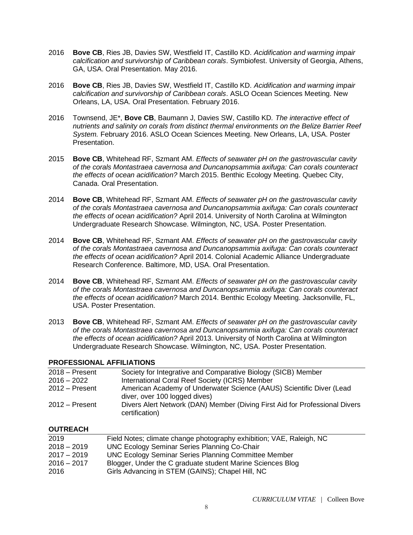- 2016 **Bove CB**, Ries JB, Davies SW, Westfield IT, Castillo KD. *Acidification and warming impair calcification and survivorship of Caribbean corals*. Symbiofest. University of Georgia, Athens, GA, USA. Oral Presentation. May 2016.
- 2016 **Bove CB**, Ries JB, Davies SW, Westfield IT, Castillo KD. *Acidification and warming impair calcification and survivorship of Caribbean corals*. ASLO Ocean Sciences Meeting. New Orleans, LA, USA. Oral Presentation. February 2016.
- 2016 Townsend, JE\*, **Bove CB**, Baumann J, Davies SW, Castillo KD*. The interactive effect of nutrients and salinity on corals from distinct thermal environments on the Belize Barrier Reef System.* February 2016. ASLO Ocean Sciences Meeting. New Orleans, LA, USA. Poster Presentation.
- 2015 **Bove CB**, Whitehead RF, Szmant AM. *Effects of seawater pH on the gastrovascular cavity of the corals Montastraea cavernosa and Duncanopsammia axifuga: Can corals counteract the effects of ocean acidification?* March 2015. Benthic Ecology Meeting. Quebec City, Canada. Oral Presentation.
- 2014 **Bove CB**, Whitehead RF, Szmant AM. *Effects of seawater pH on the gastrovascular cavity of the corals Montastraea cavernosa and Duncanopsammia axifuga: Can corals counteract the effects of ocean acidification?* April 2014. University of North Carolina at Wilmington Undergraduate Research Showcase. Wilmington, NC, USA. Poster Presentation.
- 2014 **Bove CB**, Whitehead RF, Szmant AM. *Effects of seawater pH on the gastrovascular cavity of the corals Montastraea cavernosa and Duncanopsammia axifuga: Can corals counteract the effects of ocean acidification?* April 2014. Colonial Academic Alliance Undergraduate Research Conference. Baltimore, MD, USA. Oral Presentation.
- 2014 **Bove CB**, Whitehead RF, Szmant AM. *Effects of seawater pH on the gastrovascular cavity of the corals Montastraea cavernosa and Duncanopsammia axifuga: Can corals counteract the effects of ocean acidification?* March 2014. Benthic Ecology Meeting. Jacksonville, FL, USA. Poster Presentation.
- 2013 **Bove CB**, Whitehead RF, Szmant AM. *Effects of seawater pH on the gastrovascular cavity of the corals Montastraea cavernosa and Duncanopsammia axifuga: Can corals counteract the effects of ocean acidification?* April 2013. University of North Carolina at Wilmington Undergraduate Research Showcase. Wilmington, NC, USA. Poster Presentation.

### **PROFESSIONAL AFFILIATIONS**

| $2018 -$ Present | Society for Integrative and Comparative Biology (SICB) Member                                         |
|------------------|-------------------------------------------------------------------------------------------------------|
| $2016 - 2022$    | International Coral Reef Society (ICRS) Member                                                        |
| $2012 -$ Present | American Academy of Underwater Science (AAUS) Scientific Diver (Lead<br>diver, over 100 logged dives) |
| $2012 -$ Present | Divers Alert Network (DAN) Member (Diving First Aid for Professional Divers<br>certification)         |

### **OUTREACH**

| Field Notes; climate change photography exhibition; VAE, Raleigh, NC |
|----------------------------------------------------------------------|
| <b>UNC Ecology Seminar Series Planning Co-Chair</b>                  |
| <b>UNC Ecology Seminar Series Planning Committee Member</b>          |
| Blogger, Under the C graduate student Marine Sciences Blog           |
| Girls Advancing in STEM (GAINS); Chapel Hill, NC                     |
|                                                                      |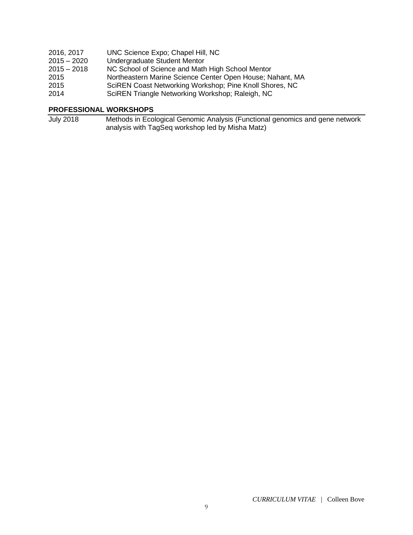| 2016, 2017    | UNC Science Expo; Chapel Hill, NC                         |
|---------------|-----------------------------------------------------------|
| $2015 - 2020$ | Undergraduate Student Mentor                              |
| $2015 - 2018$ | NC School of Science and Math High School Mentor          |
| 2015          | Northeastern Marine Science Center Open House; Nahant, MA |
| 2015          | SciREN Coast Networking Workshop; Pine Knoll Shores, NC   |
| 2014          | SciREN Triangle Networking Workshop; Raleigh, NC          |

## **PROFESSIONAL WORKSHOPS**

July 2018 Methods in Ecological Genomic Analysis (Functional genomics and gene network analysis with TagSeq workshop led by Misha Matz)